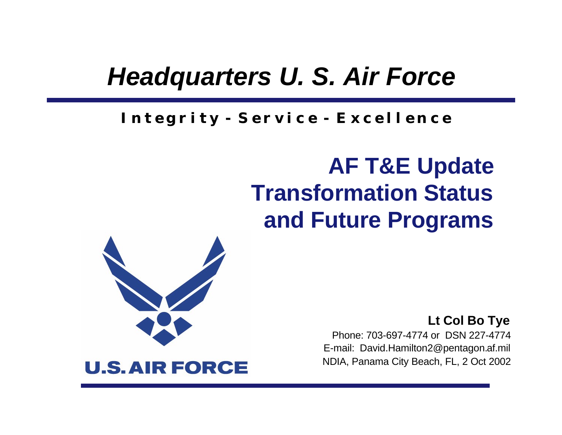### *Headquarters U. S. Air Force*

#### *I n t e g r i t y - S e r v i c e - E x c e l l e n c e*

### **AF T&E Update Transformation Status and Future Programs**



**Lt Col Bo Tye** Phone: 703-697-4774 or DSN 227-4774 E-mail: David.Hamilton2@pentagon.af.mil NDIA, Panama City Beach, FL, 2 Oct 2002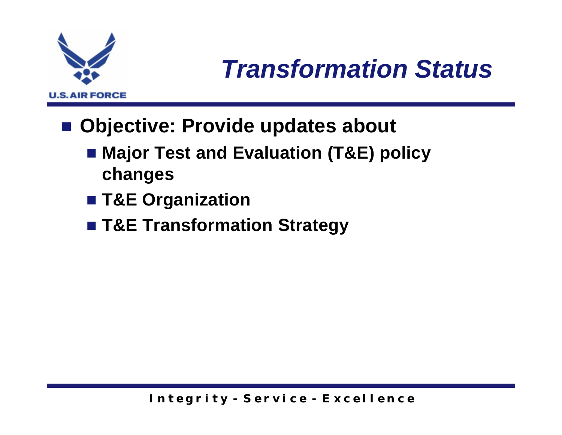

## *Transformation Status*

- Objective: Provide updates about
	- Major Test and Evaluation (T&E) policy **changes**
	- T&E Organization
	- T&E Transformation Strategy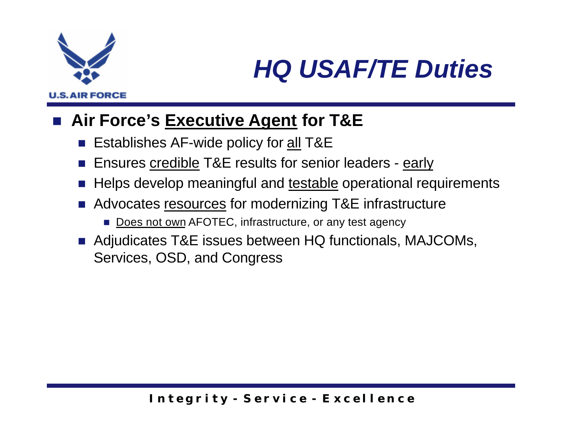

## *HQ USAF/TE Duties*

#### ■ Air Force's **Executive Agent for T&E**

- Establishes AF-wide policy for all T&E
- Ensures credible T&E results for senior leaders early
- Helps develop meaningful and testable operational requirements
- Advocates resources for modernizing T&E infrastructure
	- Does not own AFOTEC, infrastructure, or any test agency
- Adjudicates T&E issues between HQ functionals, MAJCOMs, Services, OSD, and Congress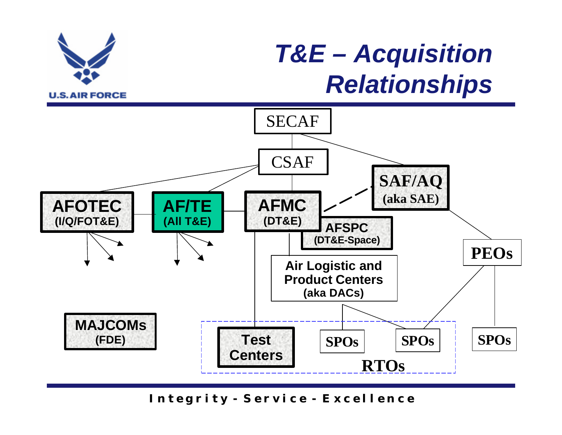

### *T&E – Acquisition Relationships*

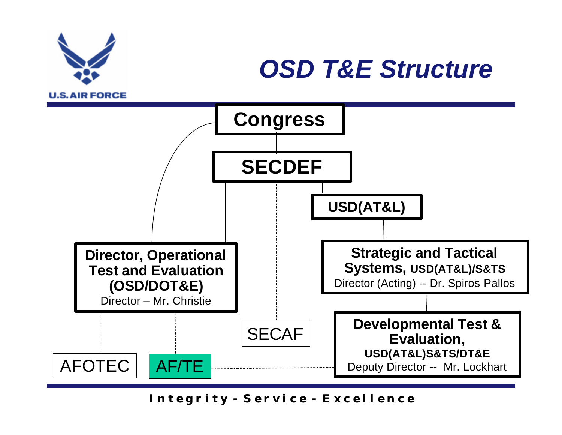

### *OSD T&E Structure*

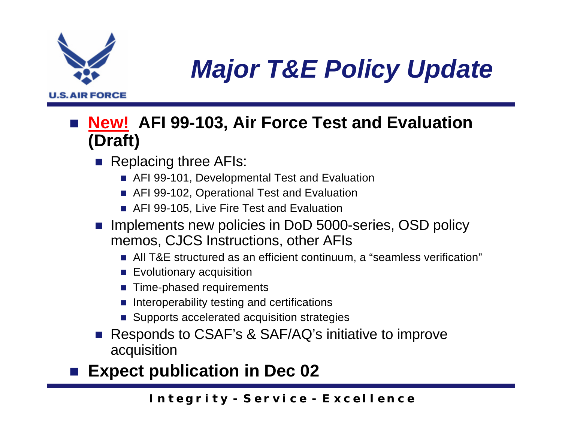

## *Major T&E Policy Update*

#### **New! AFI 99-103, Air Force Test and Evaluation (Draft)**

- $\blacksquare$  Replacing three AFIs:
	- AFI 99-101, Developmental Test and Evaluation
	- AFI 99-102, Operational Test and Evaluation
	- AFI 99-105, Live Fire Test and Evaluation
- n Implements new policies in DoD 5000-series, OSD policy memos, CJCS Instructions, other AFIs
	- All T&E structured as an efficient continuum, a "seamless verification"
	- $\blacksquare$  Evolutionary acquisition
	- $\blacksquare$  Time-phased requirements
	- $\blacksquare$  Interoperability testing and certifications
	- Supports accelerated acquisition strategies
- Responds to CSAF's & SAF/AQ's initiative to improve acquisition
- **Expect publication in Dec 02**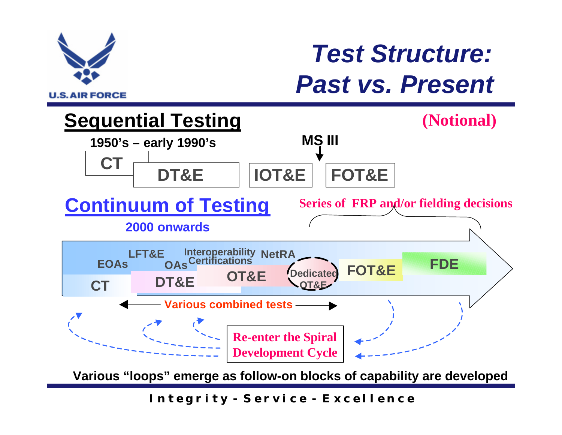

### *Test Structure: Past vs. Present*



**Various "loops" emerge as follow-on blocks of capability are developed**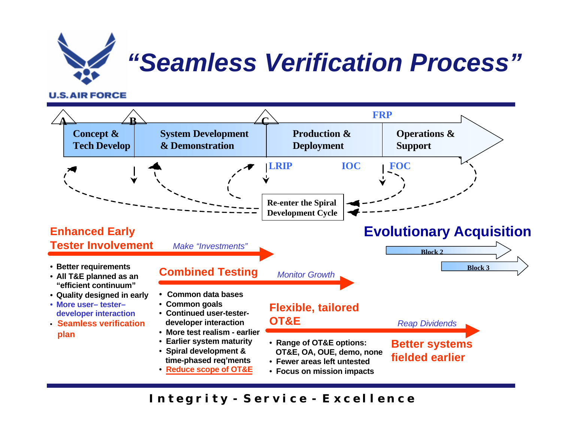

#### **U.S. AIR FORCE**

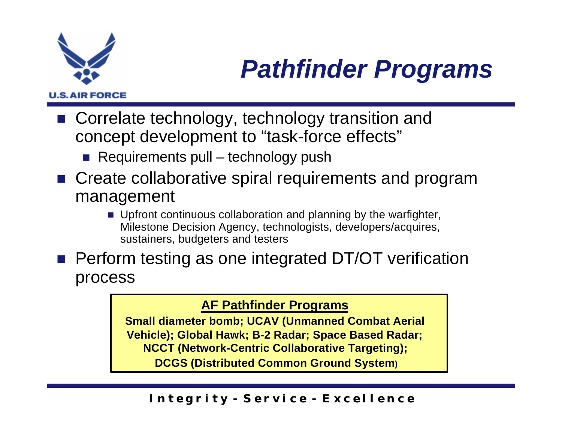

## *Pathfinder Programs*

- Correlate technology, technology transition and concept development to "task-force effects"
	- $\blacksquare$  Requirements pull technology push
- Create collaborative spiral requirements and program management
	- $\blacksquare$  Upfront continuous collaboration and planning by the warfighter, Milestone Decision Agency, technologists, developers/acquires, sustainers, budgeters and testers
- **n** Perform testing as one integrated DT/OT verification process

#### **AF Pathfinder Programs**

**Small diameter bomb; UCAV (Unmanned Combat Aerial Vehicle); Global Hawk; B-2 Radar; Space Based Radar; NCCT (Network-Centric Collaborative Targeting); DCGS (Distributed Common Ground System)**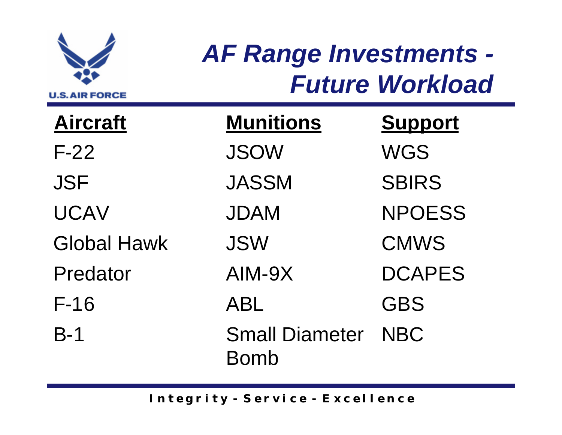

## *AF Range Investments - Future Workload*

**Aircraft Munitions Support** F-22 JSOW WGS JSF JASSM SBIRS UCAV JDAM NPOESS Global Hawk JSW CMWS Predator AIM-9X DCAPES F-16 ABL GBS B-1 Small Diameter Bomb NBC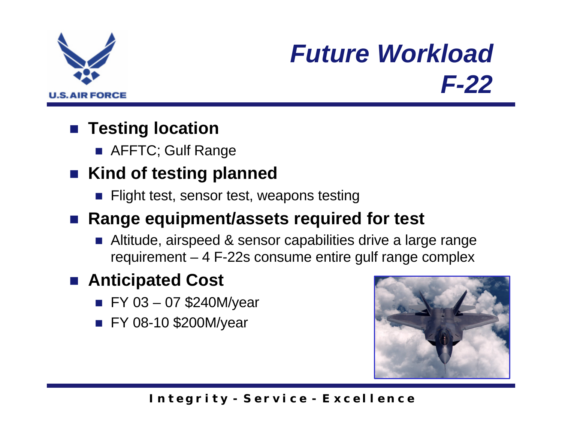

## *Future Workload F-22*

### ■ **Testing location**

**n** AFFTC; Gulf Range

### ■ Kind of testing planned

**n** Flight test, sensor test, weapons testing

#### ■ Range equipment/assets required for test

■ Altitude, airspeed & sensor capabilities drive a large range requirement – 4 F-22s consume entire gulf range complex

### ■ **Anticipated Cost**

- $\blacksquare$  FY 03 07 \$240M/year
- **FY 08-10 \$200M/year**

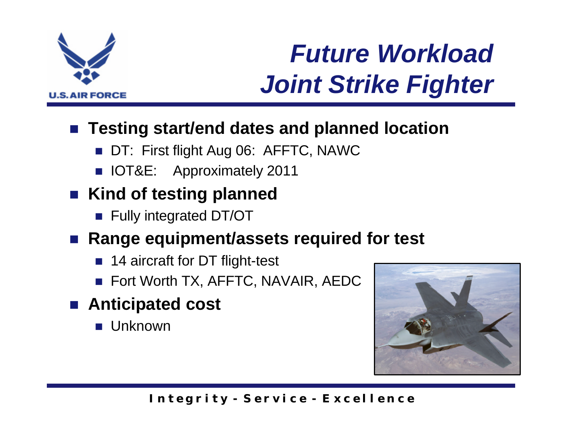

## *Future Workload Joint Strike Fighter*

#### ■ Testing start/end dates and planned location

- DT: First flight Aug 06: AFFTC, NAWC
- **n** IOT&E: Approximately 2011

### ■ Kind of testing planned

**n** Fully integrated DT/OT

#### ■ Range equipment/assets required for test

- 14 aircraft for DT flight-test
- **n** Fort Worth TX, AFFTC, NAVAIR, AEDC
- Anticipated cost
	- **n** Unknown

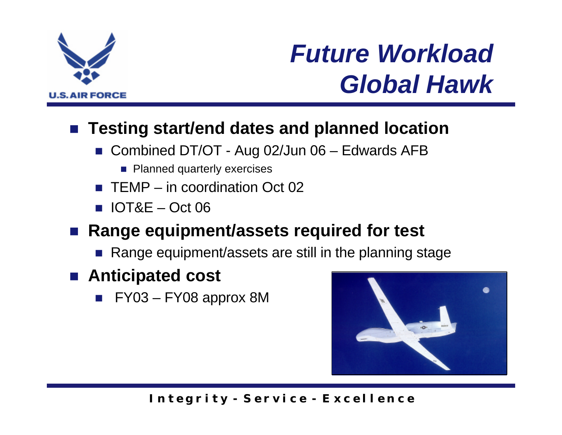

## *Future Workload Global Hawk*

#### ■ Testing start/end dates and planned location

- Combined DT/OT Aug 02/Jun 06 Edwards AFB
	- Planned quarterly exercises
- $\blacksquare$  TEMP in coordination Oct 02
- $\blacksquare$  IOT&E Oct 06

#### ■ Range equipment/assets required for test

- Range equipment/assets are still in the planning stage
- Anticipated cost
	- $\blacksquare$  FY03 FY08 approx 8M

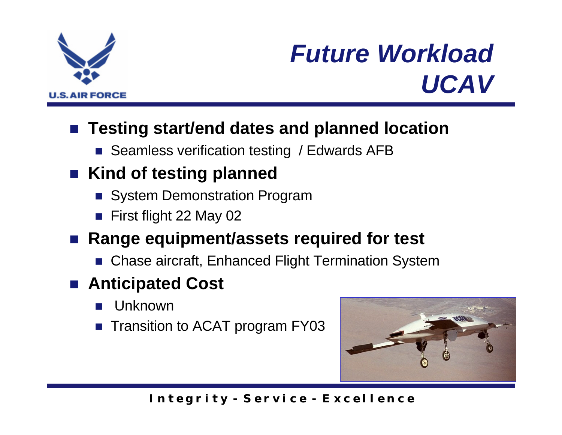

## *Future Workload UCAV*

#### ■ Testing start/end dates and planned location

■ Seamless verification testing / Edwards AFB

### ■ Kind of testing planned

- **n** System Demonstration Program
- $\blacksquare$  First flight 22 May 02

#### ■ Range equipment/assets required for test

■ Chase aircraft, Enhanced Flight Termination System

### ■ Anticipated Cost

- **Unknown**
- Transition to ACAT program FY03

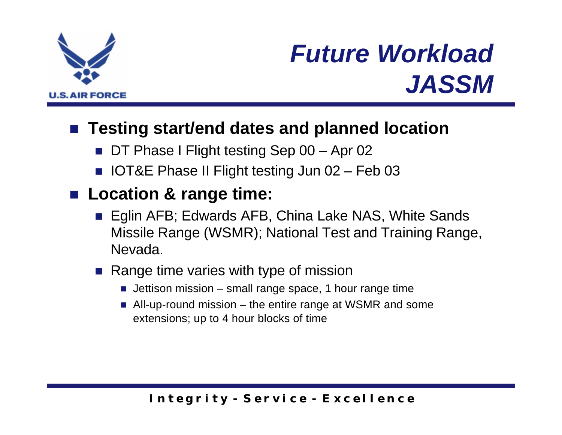

## *Future Workload JASSM*

#### ■ Testing start/end dates and planned location

- DT Phase I Flight testing Sep 00 Apr 02
- IOT&E Phase II Flight testing Jun 02 Feb 03

### ■ Location & range time:

- Eglin AFB; Edwards AFB, China Lake NAS, White Sands Missile Range (WSMR); National Test and Training Range, Nevada.
- $\blacksquare$  Range time varies with type of mission
	- **Jettison mission small range space, 1 hour range time**
	- $\blacksquare$  All-up-round mission the entire range at WSMR and some extensions; up to 4 hour blocks of time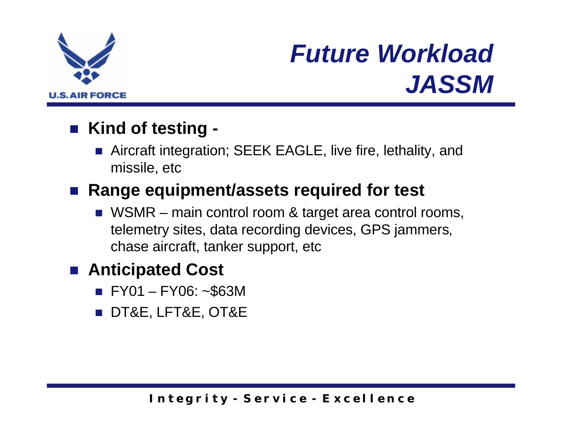

### *Future Workload JASSM*

#### ■ Kind of testing -

■ Aircraft integration; SEEK EAGLE, live fire, lethality, and missile, etc

#### ■ Range equipment/assets required for test

 $\blacksquare$  WSMR – main control room & target area control rooms, telemetry sites, data recording devices, GPS jammers, chase aircraft, tanker support, etc

#### ■ **Anticipated Cost**

- $\blacksquare$  FY01 FY06: ~\$63M
- **DT&E, LFT&E, OT&E**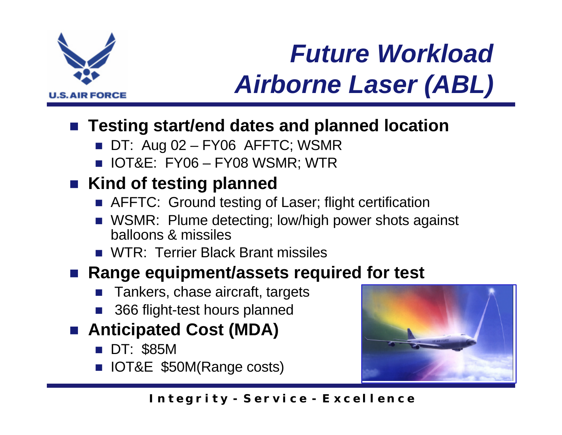

# *Future Workload Airborne Laser (ABL)*

#### ■ Testing start/end dates and planned location

- $\blacksquare$  DT: Aug 02 FY06 AFFTC; WSMR
- **NOT&E: FY06 FY08 WSMR; WTR**

### ■ Kind of testing planned

- **n** AFFTC: Ground testing of Laser; flight certification
- **NIMIA:** Plume detecting; low/high power shots against balloons & missiles
- **n** WTR: Terrier Black Brant missiles

#### ■ Range equipment/assets required for test

- Tankers, chase aircraft, targets
- 366 flight-test hours planned
- Anticipated Cost (MDA)
	- **DT: \$85M**
	- **n** IOT&E \$50M(Range costs)

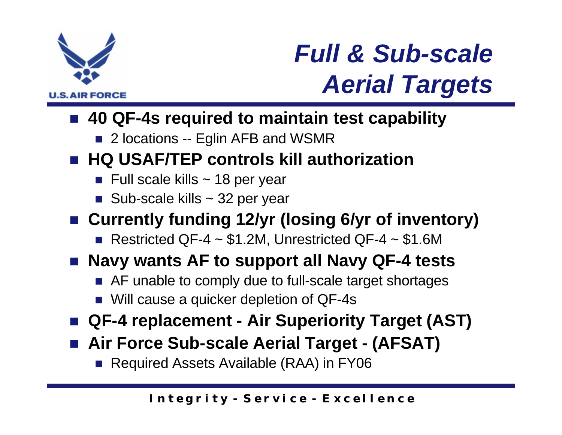

## *Full & Sub-scale Aerial Targets*

#### ■ 40 QF-4s required to maintain test capability

■ 2 locations -- Eglin AFB and WSMR

### ■ HQ USAF/TEP controls kill authorization

- $\blacksquare$  Full scale kills ~ 18 per year
- Sub-scale kills  $\sim$  32 per year

### ■ Currently funding 12/yr (losing 6/yr of inventory)

Restricted QF-4  $\sim$  \$1.2M, Unrestricted QF-4  $\sim$  \$1.6M

### ■ Navy wants AF to support all Navy QF-4 tests

- AF unable to comply due to full-scale target shortages
- Will cause a quicker depletion of QF-4s
- QF-4 replacement Air Superiority Target (AST)
- Air Force Sub-scale Aerial Target (AFSAT)
	- Required Assets Available (RAA) in FY06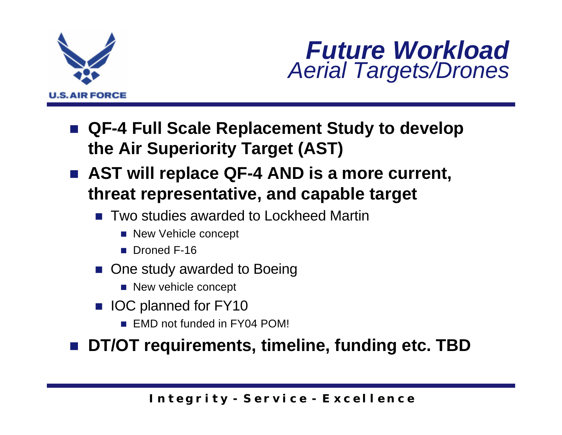

### *Future Workload Aerial Targets/Drones*

- QF-4 Full Scale Replacement Study to develop **the Air Superiority Target (AST)**
- AST will replace QF-4 AND is a more current, **threat representative, and capable target**
	- **n** Two studies awarded to Lockheed Martin
		- New Vehicle concept
		- **n** Droned F-16
	- One study awarded to Boeing
		- New vehicle concept
	- **No IOC planned for FY10** 
		- **FMD** not funded in FY04 POM!

DT/OT requirements, timeline, funding etc. TBD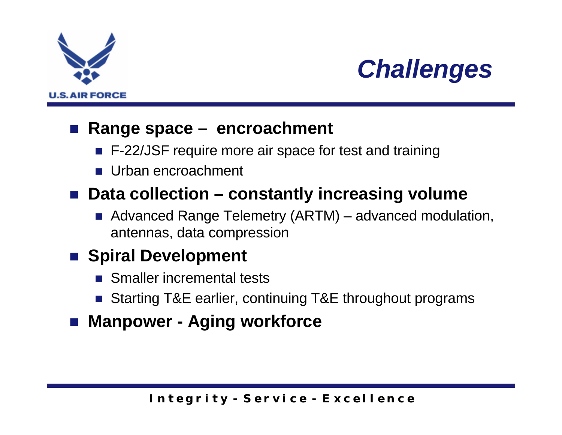



#### n **Range space – encroachment**

- F-22/JSF require more air space for test and training
- **n** Urban encroachment

#### ■ Data collection – constantly increasing volume

■ Advanced Range Telemetry (ARTM) – advanced modulation, antennas, data compression

#### **n** Spiral Development

- **n** Smaller incremental tests
- Starting T&E earlier, continuing T&E throughout programs
- Manpower Aging workforce